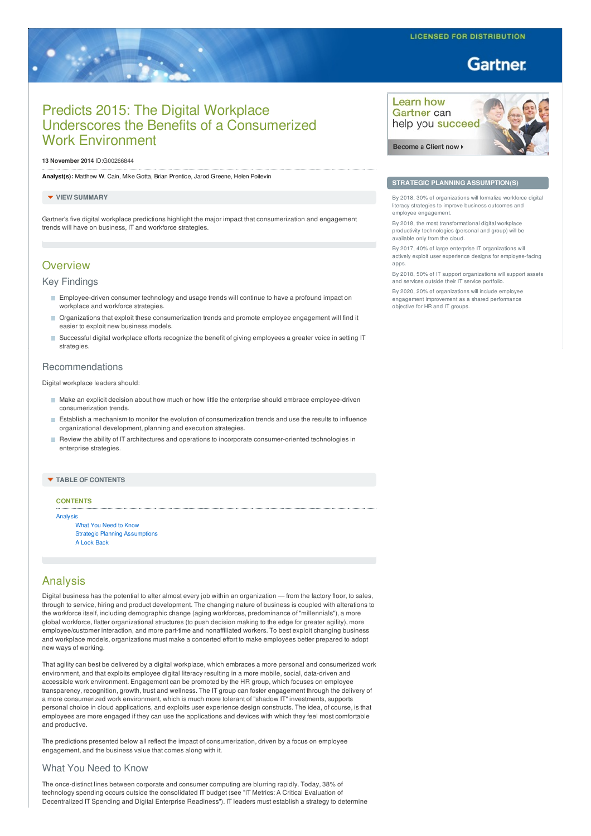# **Gartner**

# Predicts 2015: The Digital Workplace Underscores the Benefits of a Consumerized Work Environment

#### **13 November 2014** ID:G00266844

**Analyst(s):** Matthew W. Cain, Mike Gotta, Brian Prentice, Jarod Greene, Helen Poitevin

#### **VIEW SUMMARY**

Gartner's five digital workplace predictions highlight the major impact that consumerization and engagement trends will have on business, IT and workforce strategies.

# **Overview**

# Key Findings

- **Employee-driven consumer technology and usage trends will continue to have a profound impact on** workplace and workforce strategies.
- Organizations that exploit these consumerization trends and promote employee engagement will find it easier to exploit new business models.
- Successful digital workplace efforts recognize the benefit of giving employees a greater voice in setting IT strategies.

# Recommendations

Digital workplace leaders should:

- $\blacksquare$  Make an explicit decision about how much or how little the enterprise should embrace employee-driven consumerization trends.
- Establish a mechanism to monitor the evolution of consumerization trends and use the results to influence organizational development, planning and execution strategies.
- Review the ability of IT architectures and operations to incorporate consumer-oriented technologies in enterprise strategies.

# **TABLE OF CONTENTS**

# **CONTENTS**

[Analysis](#page-0-0) What You [Need](#page-0-1) to Know Strategic Planning [Assumptions](#page-1-0) A Look [Back](#page-5-0)

# <span id="page-0-0"></span>Analysis

Digital business has the potential to alter almost every job within an organization — from the factory floor, to sales, through to service, hiring and product development. The changing nature of business is coupled with alterations to the workforce itself, including demographic change (aging workforces, predominance of "millennials"), a more global workforce, flatter organizational structures (to push decision making to the edge for greater agility), more employee/customer interaction, and more part-time and nonaffiliated workers. To best exploit changing business and workplace models, organizations must make a concerted effort to make employees better prepared to adopt new ways of working.

That agility can best be delivered by a digital workplace, which embraces a more personal and consumerized work environment, and that exploits employee digital literacy resulting in a more mobile, social, data-driven and accessible work environment. Engagement can be promoted by the HR group, which focuses on employee transparency, recognition, growth, trust and wellness. The IT group can foster engagement through the delivery of a more consumerized work environment, which is much more tolerant of "shadow IT" investments, supports personal choice in cloud applications, and exploits user experience design constructs. The idea, of course, is that employees are more engaged if they can use the applications and devices with which they feel most comfortable and productive.

The predictions presented below all reflect the impact of consumerization, driven by a focus on employee engagement, and the business value that comes along with it.

# <span id="page-0-1"></span>What You Need to Know

The once-distinct lines between corporate and consumer computing are blurring rapidly. Today, 38% of technology spending occurs outside the consolidated IT budget (see "IT Metrics: A Critical Evaluation of Decentralized IT Spending and Digital Enterprise Readiness"). IT leaders must establish a strategy to determine



Become a Client now K



# **STRATEGIC PLANNING ASSUMPTION(S)**

By 2018, 30% of organizations will formalize workforce digital eracy strategies to improve business outcomes and employee engagement.

By 2018, the most transformational digital workplace productivity technologies (personal and group) will be available only from the cloud.

By 2017, 40% of large enterprise IT organizations will actively exploit user experience designs for employee-facing apps.

By 2018, 50% of IT support organizations will support assets and services outside their IT service portfolio.

By 2020, 20% of organizations will include employee engagement improvement as a shared performance objective for HR and IT groups.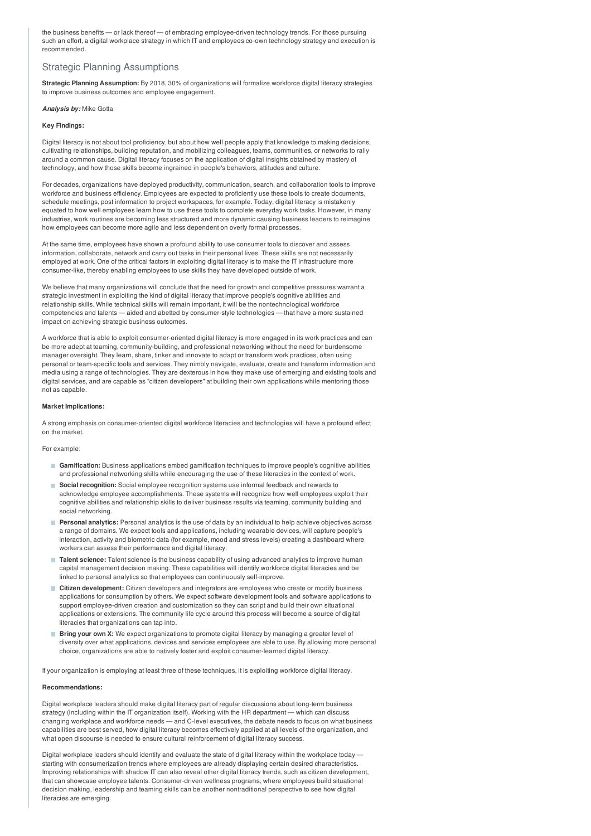the business benefits — or lack thereof — of embracing employee-driven technology trends. For those pursuing such an effort, a digital workplace strategy in which IT and employees co-own technology strategy and execution is recommended.

# <span id="page-1-0"></span>Strategic Planning Assumptions

**Strategic Planning Assumption:** By 2018, 30% of organizations will formalize workforce digital literacy strategies to improve business outcomes and employee engagement.

### *Analysis by:* Mike Gotta

# **Key Findings:**

Digital literacy is not about tool proficiency, but about how well people apply that knowledge to making decisions, cultivating relationships, building reputation, and mobilizing colleagues, teams, communities, or networks to rally around a common cause. Digital literacy focuses on the application of digital insights obtained by mastery of technology, and how those skills become ingrained in people's behaviors, attitudes and culture.

For decades, organizations have deployed productivity, communication, search, and collaboration tools to improve workforce and business efficiency. Employees are expected to proficiently use these tools to create documents, schedule meetings, post information to project workspaces, for example. Today, digital literacy is mistakenly equated to how well employees learn how to use these tools to complete everyday work tasks. However, in many industries, work routines are becoming less structured and more dynamic causing business leaders to reimagine how employees can become more agile and less dependent on overly formal processes.

At the same time, employees have shown a profound ability to use consumer tools to discover and assess information, collaborate, network and carry out tasks in their personal lives. These skills are not necessarily employed at work. One of the critical factors in exploiting digital literacy is to make the IT infrastructure more consumer-like, thereby enabling employees to use skills they have developed outside of work.

We believe that many organizations will conclude that the need for growth and competitive pressures warrant a strategic investment in exploiting the kind of digital literacy that improve people's cognitive abilities and relationship skills. While technical skills will remain important, it will be the nontechnological workforce competencies and talents — aided and abetted by consumer-style technologies — that have a more sustained impact on achieving strategic business outcomes.

A workforce that is able to exploit consumer-oriented digital literacy is more engaged in its work practices and can be more adept at teaming, community-building, and professional networking without the need for burdensome manager oversight. They learn, share, tinker and innovate to adapt or transform work practices, often using personal or team-specific tools and services. They nimbly navigate, evaluate, create and transform information and media using a range of technologies. They are dexterous in how they make use of emerging and existing tools and digital services, and are capable as "citizen developers" at building their own applications while mentoring those not as capable.

# **Market Implications:**

A strong emphasis on consumer-oriented digital workforce literacies and technologies will have a profound effect on the market.

# For example:

- **Gamification:** Business applications embed gamification techniques to improve people's cognitive abilities and professional networking skills while encouraging the use of these literacies in the context of work.
- **Social recognition:** Social employee recognition systems use informal feedback and rewards to acknowledge employee accomplishments. These systems will recognize how well employees exploit their cognitive abilities and relationship skills to deliver business results via teaming, community building and social networking.
- **Personal analytics:** Personal analytics is the use of data by an individual to help achieve objectives across a range of domains. We expect tools and applications, including wearable devices, will capture people's interaction, activity and biometric data (for example, mood and stress levels) creating a dashboard where workers can assess their performance and digital literacy.
- Talent science: Talent science is the business capability of using advanced analytics to improve human capital management decision making. These capabilities will identify workforce digital literacies and be linked to personal analytics so that employees can continuously self-improve.
- **Citizen development:** Citizen developers and integrators are employees who create or modify business applications for consumption by others. We expect software development tools and software applications to support employee-driven creation and customization so they can script and build their own situational applications or extensions. The community life cycle around this process will become a source of digital literacies that organizations can tap into.
- **Bring your own X:** We expect organizations to promote digital literacy by managing a greater level of diversity over what applications, devices and services employees are able to use. By allowing more personal choice, organizations are able to natively foster and exploit consumer-learned digital literacy.

If your organization is employing at least three of these techniques, it is exploiting workforce digital literacy.

#### **Recommendations:**

Digital workplace leaders should make digital literacy part of regular discussions about long-term business strategy (including within the IT organization itself). Working with the HR department — which can discuss changing workplace and workforce needs — and C-level executives, the debate needs to focus on what business capabilities are best served, how digital literacy becomes effectively applied at all levels of the organization, and what open discourse is needed to ensure cultural reinforcement of digital literacy success.

Digital workplace leaders should identify and evaluate the state of digital literacy within the workplace today starting with consumerization trends where employees are already displaying certain desired characteristics. Improving relationships with shadow IT can also reveal other digital literacy trends, such as citizen development, that can showcase employee talents. Consumer-driven wellness programs, where employees build situational decision making, leadership and teaming skills can be another nontraditional perspective to see how digital literacies are emerging.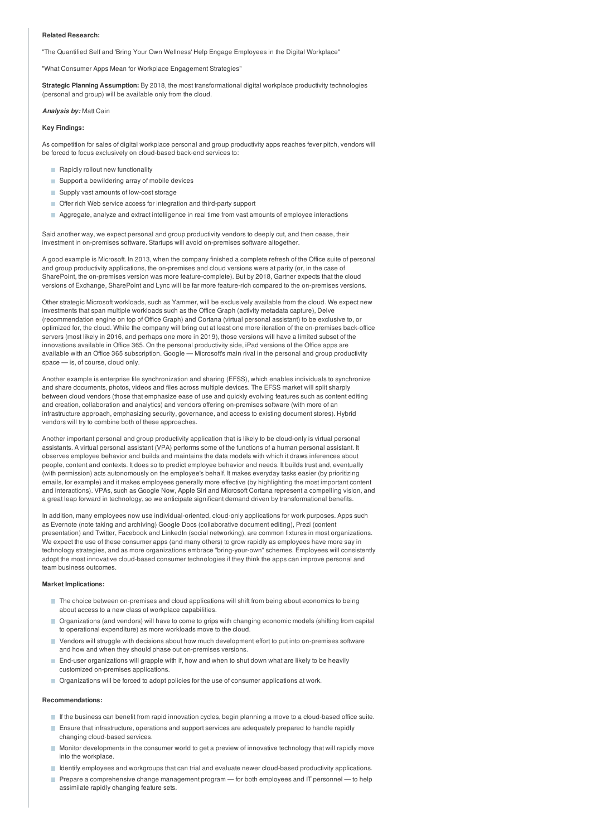#### **Related Research:**

"The Quantified Self and 'Bring Your Own Wellness' Help Engage Employees in the Digital Workplace"

"What Consumer Apps Mean for Workplace Engagement Strategies"

**Strategic Planning Assumption:** By 2018, the most transformational digital workplace productivity technologies (personal and group) will be available only from the cloud.

#### *Analysis by:* Matt Cain

## **Key Findings:**

As competition for sales of digital workplace personal and group productivity apps reaches fever pitch, vendors will be forced to focus exclusively on cloud-based back-end services to:

- Rapidly rollout new functionality
- Support a bewildering array of mobile devices
- Supply vast amounts of low-cost storage
- Offer rich Web service access for integration and third-party support
- Aggregate, analyze and extract intelligence in real time from vast amounts of employee interactions

Said another way, we expect personal and group productivity vendors to deeply cut, and then cease, their investment in on-premises software. Startups will avoid on-premises software altogether.

A good example is Microsoft. In 2013, when the company finished a complete refresh of the Office suite of personal and group productivity applications, the on-premises and cloud versions were at parity (or, in the case of SharePoint, the on-premises version was more feature-complete). But by 2018, Gartner expects that the cloud versions of Exchange, SharePoint and Lync will be far more feature-rich compared to the on-premises versions.

Other strategic Microsoft workloads, such as Yammer, will be exclusively available from the cloud. We expect new investments that span multiple workloads such as the Office Graph (activity metadata capture), Delve (recommendation engine on top of Office Graph) and Cortana (virtual personal assistant) to be exclusive to, or optimized for, the cloud. While the company will bring out at least one more iteration of the on-premises back-office servers (most likely in 2016, and perhaps one more in 2019), those versions will have a limited subset of the innovations available in Office 365. On the personal productivity side, iPad versions of the Office apps are available with an Office 365 subscription. Google — Microsoft's main rival in the personal and group productivity space — is, of course, cloud only.

Another example is enterprise file synchronization and sharing (EFSS), which enables individuals to synchronize and share documents, photos, videos and files across multiple devices. The EFSS market will split sharply between cloud vendors (those that emphasize ease of use and quickly evolving features such as content editing and creation, collaboration and analytics) and vendors offering on-premises software (with more of an infrastructure approach, emphasizing security, governance, and access to existing document stores). Hybrid vendors will try to combine both of these approaches.

Another important personal and group productivity application that is likely to be cloud-only is virtual personal assistants. A virtual personal assistant (VPA) performs some of the functions of a human personal assistant. It observes employee behavior and builds and maintains the data models with which it draws inferences about people, content and contexts. It does so to predict employee behavior and needs. It builds trust and, eventually (with permission) acts autonomously on the employee's behalf. It makes everyday tasks easier (by prioritizing emails, for example) and it makes employees generally more effective (by highlighting the most important content and interactions). VPAs, such as Google Now, Apple Siri and Microsoft Cortana represent a compelling vision, and a great leap forward in technology, so we anticipate significant demand driven by transformational benefits.

In addition, many employees now use individual-oriented, cloud-only applications for work purposes. Apps such as Evernote (note taking and archiving) Google Docs (collaborative document editing), Prezi (content presentation) and Twitter, Facebook and LinkedIn (social networking), are common fixtures in most organizations. We expect the use of these consumer apps (and many others) to grow rapidly as employees have more say in technology strategies, and as more organizations embrace "bring-your-own" schemes. Employees will consistently adopt the most innovative cloud-based consumer technologies if they think the apps can improve personal and team business outcomes.

## **Market Implications:**

- The choice between on-premises and cloud applications will shift from being about economics to being about access to a new class of workplace capabilities.
- Organizations (and vendors) will have to come to grips with changing economic models (shifting from capital to operational expenditure) as more workloads move to the cloud.
- Vendors will struggle with decisions about how much development effort to put into on-premises software and how and when they should phase out on-premises versions.
- End-user organizations will grapple with if, how and when to shut down what are likely to be heavily customized on-premises applications.
- **Organizations will be forced to adopt policies for the use of consumer applications at work.**

### **Recommendations:**

- If the business can benefit from rapid innovation cycles, begin planning a move to a cloud-based office suite.
- Ensure that infrastructure, operations and support services are adequately prepared to handle rapidly changing cloud-based services.
- Monitor developments in the consumer world to get a preview of innovative technology that will rapidly move into the workplace.
- Identify employees and workgroups that can trial and evaluate newer cloud-based productivity applications.
- Prepare a comprehensive change management program for both employees and IT personnel to help assimilate rapidly changing feature sets.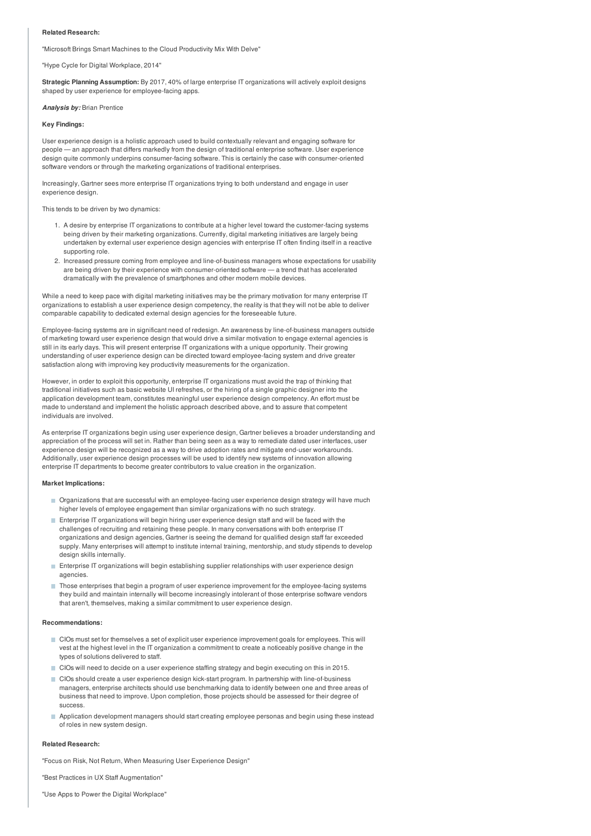### **Related Research:**

"Microsoft Brings Smart Machines to the Cloud Productivity Mix With Delve"

"Hype Cycle for Digital Workplace, 2014"

**Strategic Planning Assumption:** By 2017, 40% of large enterprise IT organizations will actively exploit designs shaped by user experience for employee-facing apps.

#### *Analysis by:* Brian Prentice

#### **Key Findings:**

User experience design is a holistic approach used to build contextually relevant and engaging software for people — an approach that differs markedly from the design of traditional enterprise software. User experience design quite commonly underpins consumer-facing software. This is certainly the case with consumer-oriented software vendors or through the marketing organizations of traditional enterprises.

Increasingly, Gartner sees more enterprise IT organizations trying to both understand and engage in user experience design.

This tends to be driven by two dynamics:

- 1. A desire by enterprise IT organizations to contribute at a higher level toward the customer-facing systems being driven by their marketing organizations. Currently, digital marketing initiatives are largely being undertaken by external user experience design agencies with enterprise IT often finding itself in a reactive supporting role.
- 2. Increased pressure coming from employee and line-of-business managers whose expectations for usability are being driven by their experience with consumer-oriented software — a trend that has accelerated dramatically with the prevalence of smartphones and other modern mobile devices.

While a need to keep pace with digital marketing initiatives may be the primary motivation for many enterprise IT organizations to establish a user experience design competency, the reality is that they will not be able to deliver comparable capability to dedicated external design agencies for the foreseeable future.

Employee-facing systems are in significant need of redesign. An awareness by line-of-business managers outside of marketing toward user experience design that would drive a similar motivation to engage external agencies is still in its early days. This will present enterprise IT organizations with a unique opportunity. Their growing understanding of user experience design can be directed toward employee-facing system and drive greater satisfaction along with improving key productivity measurements for the organization.

However, in order to exploit this opportunity, enterprise IT organizations must avoid the trap of thinking that traditional initiatives such as basic website UI refreshes, or the hiring of a single graphic designer into the application development team, constitutes meaningful user experience design competency. An effort must be made to understand and implement the holistic approach described above, and to assure that competent individuals are involved.

As enterprise IT organizations begin using user experience design, Gartner believes a broader understanding and appreciation of the process will set in. Rather than being seen as a way to remediate dated user interfaces, user experience design will be recognized as a way to drive adoption rates and mitigate end-user workarounds. Additionally, user experience design processes will be used to identify new systems of innovation allowing enterprise IT departments to become greater contributors to value creation in the organization.

### **Market Implications:**

- Organizations that are successful with an employee-facing user experience design strategy will have much higher levels of employee engagement than similar organizations with no such strategy.
- Enterprise IT organizations will begin hiring user experience design staff and will be faced with the challenges of recruiting and retaining these people. In many conversations with both enterprise IT organizations and design agencies, Gartner is seeing the demand for qualified design staff far exceeded supply. Many enterprises will attempt to institute internal training, mentorship, and study stipends to develop design skills internally.
- Enterprise IT organizations will begin establishing supplier relationships with user experience design agencies.
- Those enterprises that begin a program of user experience improvement for the employee-facing systems they build and maintain internally will become increasingly intolerant of those enterprise software vendors that aren't, themselves, making a similar commitment to user experience design.

#### **Recommendations:**

- CIOs must set for themselves a set of explicit user experience improvement goals for employees. This will vest at the highest level in the IT organization a commitment to create a noticeably positive change in the types of solutions delivered to staff.
- CIOs will need to decide on a user experience staffing strategy and begin executing on this in 2015.
- CIOs should create a user experience design kick-start program. In partnership with line-of-business managers, enterprise architects should use benchmarking data to identify between one and three areas of business that need to improve. Upon completion, those projects should be assessed for their degree of success.
- Application development managers should start creating employee personas and begin using these instead of roles in new system design.

# **Related Research:**

"Focus on Risk, Not Return, When Measuring User Experience Design"

"Best Practices in UX Staff Augmentation"

"Use Apps to Power the Digital Workplace"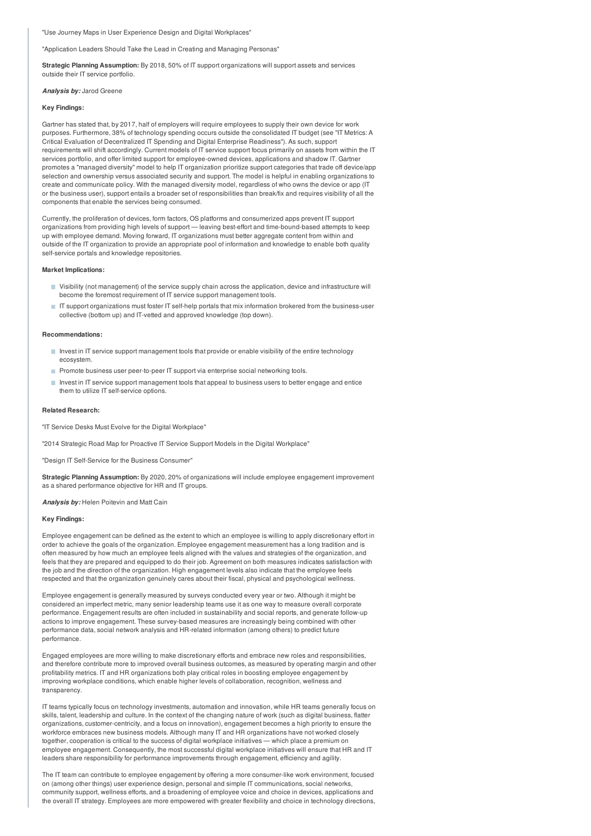# "Use Journey Maps in User Experience Design and Digital Workplaces"

"Application Leaders Should Take the Lead in Creating and Managing Personas"

**Strategic Planning Assumption:** By 2018, 50% of IT support organizations will support assets and services outside their IT service portfolio.

*Analysis by:* Jarod Greene

#### **Key Findings:**

Gartner has stated that, by 2017, half of employers will require employees to supply their own device for work purposes. Furthermore, 38% of technology spending occurs outside the consolidated IT budget (see "IT Metrics: A Critical Evaluation of Decentralized IT Spending and Digital Enterprise Readiness"). As such, support requirements will shift accordingly. Current models of IT service support focus primarily on assets from within the IT services portfolio, and offer limited support for employee-owned devices, applications and shadow IT. Gartner promotes a "managed diversity" model to help IT organization prioritize support categories that trade off device/app selection and ownership versus associated security and support. The model is helpful in enabling organizations to create and communicate policy. With the managed diversity model, regardless of who owns the device or app (IT or the business user), support entails a broader set of responsibilities than break/fix and requires visibility of all the components that enable the services being consumed.

Currently, the proliferation of devices, form factors, OS platforms and consumerized apps prevent IT support organizations from providing high levels of support — leaving best-effort and time-bound-based attempts to keep up with employee demand. Moving forward, IT organizations must better aggregate content from within and outside of the IT organization to provide an appropriate pool of information and knowledge to enable both quality self-service portals and knowledge repositories.

#### **Market Implications:**

- Visibility (not management) of the service supply chain across the application, device and infrastructure will become the foremost requirement of IT service support management tools.
- **IT** support organizations must foster IT self-help portals that mix information brokered from the business-user collective (bottom up) and IT-vetted and approved knowledge (top down).

#### **Recommendations:**

- Invest in IT service support management tools that provide or enable visibility of the entire technology ecosystem.
- **Promote business user peer-to-peer IT support via enterprise social networking tools.**
- Invest in IT service support management tools that appeal to business users to better engage and entice them to utilize IT self-service options.

# **Related Research:**

"IT Service Desks Must Evolve for the Digital Workplace"

"2014 Strategic Road Map for Proactive IT Service Support Models in the Digital Workplace"

"Design IT Self-Service for the Business Consumer"

**Strategic Planning Assumption:** By 2020, 20% of organizations will include employee engagement improvement as a shared performance objective for HR and IT groups.

*Analysis by:* Helen Poitevin and Matt Cain

# **Key Findings:**

Employee engagement can be defined as the extent to which an employee is willing to apply discretionary effort in order to achieve the goals of the organization. Employee engagement measurement has a long tradition and is often measured by how much an employee feels aligned with the values and strategies of the organization, and feels that they are prepared and equipped to do their job. Agreement on both measures indicates satisfaction with the job and the direction of the organization. High engagement levels also indicate that the employee feels respected and that the organization genuinely cares about their fiscal, physical and psychological wellness.

Employee engagement is generally measured by surveys conducted every year or two. Although it might be considered an imperfect metric, many senior leadership teams use it as one way to measure overall corporate performance. Engagement results are often included in sustainability and social reports, and generate follow-up actions to improve engagement. These survey-based measures are increasingly being combined with other performance data, social network analysis and HR-related information (among others) to predict future performance.

Engaged employees are more willing to make discretionary efforts and embrace new roles and responsibilities, and therefore contribute more to improved overall business outcomes, as measured by operating margin and other profitability metrics. IT and HR organizations both play critical roles in boosting employee engagement by improving workplace conditions, which enable higher levels of collaboration, recognition, wellness and transparency.

IT teams typically focus on technology investments, automation and innovation, while HR teams generally focus on skills, talent, leadership and culture. In the context of the changing nature of work (such as digital business, flatter organizations, customer-centricity, and a focus on innovation), engagement becomes a high priority to ensure the workforce embraces new business models. Although many IT and HR organizations have not worked closely together, cooperation is critical to the success of digital workplace initiatives — which place a premium on employee engagement. Consequently, the most successful digital workplace initiatives will ensure that HR and IT leaders share responsibility for performance improvements through engagement, efficiency and agility.

The IT team can contribute to employee engagement by offering a more consumer-like work environment, focused on (among other things) user experience design, personal and simple IT communications, social networks, community support, wellness efforts, and a broadening of employee voice and choice in devices, applications and the overall IT strategy. Employees are more empowered with greater flexibility and choice in technology directions,